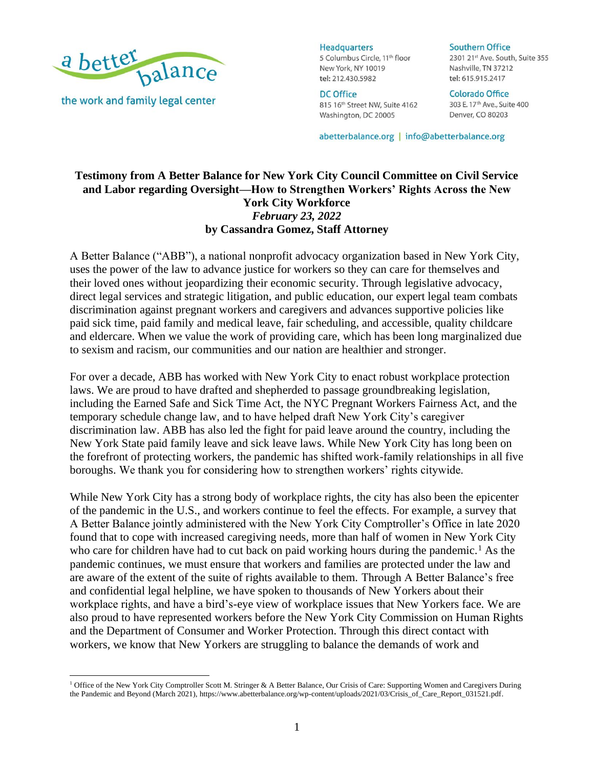

the work and family legal center

**Headquarters** 5 Columbus Circle, 11th floor New York, NY 10019 tel: 212.430.5982

#### **DC Office** 815 16th Street NW, Suite 4162 Washington, DC 20005

**Southern Office** 2301 21st Ave. South, Suite 355 Nashville, TN 37212 tel: 615.915.2417

**Colorado Office** 303 E. 17th Ave., Suite 400 Denver, CO 80203

abetterbalance.org | info@abetterbalance.org

### **Testimony from A Better Balance for New York City Council Committee on Civil Service and Labor regarding Oversight—How to Strengthen Workers' Rights Across the New York City Workforce** *February 23, 2022* **by Cassandra Gomez, Staff Attorney**

A Better Balance ("ABB"), a national nonprofit advocacy organization based in New York City, uses the power of the law to advance justice for workers so they can care for themselves and their loved ones without jeopardizing their economic security. Through legislative advocacy, direct legal services and strategic litigation, and public education, our expert legal team combats discrimination against pregnant workers and caregivers and advances supportive policies like paid sick time, paid family and medical leave, fair scheduling, and accessible, quality childcare and eldercare. When we value the work of providing care, which has been long marginalized due to sexism and racism, our communities and our nation are healthier and stronger.

For over a decade, ABB has worked with New York City to enact robust workplace protection laws. We are proud to have drafted and shepherded to passage groundbreaking legislation, including the Earned Safe and Sick Time Act, the NYC Pregnant Workers Fairness Act, and the temporary schedule change law, and to have helped draft New York City's caregiver discrimination law. ABB has also led the fight for paid leave around the country, including the New York State paid family leave and sick leave laws. While New York City has long been on the forefront of protecting workers, the pandemic has shifted work-family relationships in all five boroughs. We thank you for considering how to strengthen workers' rights citywide.

While New York City has a strong body of workplace rights, the city has also been the epicenter of the pandemic in the U.S., and workers continue to feel the effects. For example, a survey that A Better Balance jointly administered with the New York City Comptroller's Office in late 2020 found that to cope with increased caregiving needs, more than half of women in New York City who care for children have had to cut back on paid working hours during the pandemic.<sup>1</sup> As the pandemic continues, we must ensure that workers and families are protected under the law and are aware of the extent of the suite of rights available to them. Through A Better Balance's free and confidential legal helpline, we have spoken to thousands of New Yorkers about their workplace rights, and have a bird's-eye view of workplace issues that New Yorkers face. We are also proud to have represented workers before the New York City Commission on Human Rights and the Department of Consumer and Worker Protection. Through this direct contact with workers, we know that New Yorkers are struggling to balance the demands of work and

<sup>&</sup>lt;sup>1</sup> Office of the New York City Comptroller Scott M. Stringer & A Better Balance, Our Crisis of Care: Supporting Women and Caregivers During the Pandemic and Beyond (March 2021), [https://www.abetterbalance.org/wp-content/uploads/2021/03/Crisis\\_of\\_Care\\_Report\\_031521.pdf.](https://www.abetterbalance.org/wp-content/uploads/2021/03/Crisis_of_Care_Report_031521.pdf)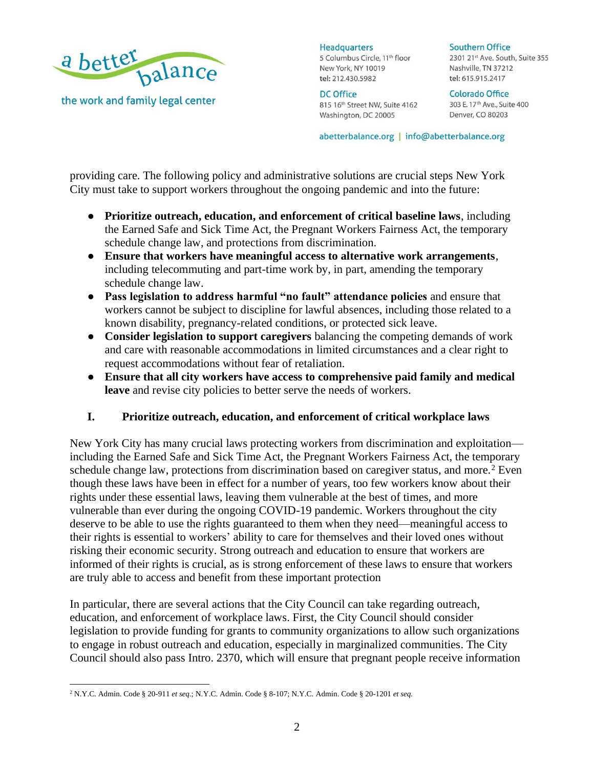

**Headquarters** 5 Columbus Circle, 11<sup>th</sup> floor New York, NY 10019 tel: 212.430.5982

**DC Office** 815 16th Street NW, Suite 4162 Washington, DC 20005

**Southern Office** 2301 21st Ave. South, Suite 355 Nashville, TN 37212 tel: 615.915.2417

**Colorado Office** 303 E. 17th Ave., Suite 400 Denver, CO 80203

abetterbalance.org | info@abetterbalance.org

providing care. The following policy and administrative solutions are crucial steps New York City must take to support workers throughout the ongoing pandemic and into the future:

- **Prioritize outreach, education, and enforcement of critical baseline laws**, including the Earned Safe and Sick Time Act, the Pregnant Workers Fairness Act, the temporary schedule change law, and protections from discrimination.
- **Ensure that workers have meaningful access to alternative work arrangements**, including telecommuting and part-time work by, in part, amending the temporary schedule change law.
- **Pass legislation to address harmful "no fault" attendance policies** and ensure that workers cannot be subject to discipline for lawful absences, including those related to a known disability, pregnancy-related conditions, or protected sick leave.
- **Consider legislation to support caregivers** balancing the competing demands of work and care with reasonable accommodations in limited circumstances and a clear right to request accommodations without fear of retaliation.
- **Ensure that all city workers have access to comprehensive paid family and medical leave** and revise city policies to better serve the needs of workers.

# **I. Prioritize outreach, education, and enforcement of critical workplace laws**

New York City has many crucial laws protecting workers from discrimination and exploitation including the Earned Safe and Sick Time Act, the Pregnant Workers Fairness Act, the temporary schedule change law, protections from discrimination based on caregiver status, and more.<sup>2</sup> Even though these laws have been in effect for a number of years, too few workers know about their rights under these essential laws, leaving them vulnerable at the best of times, and more vulnerable than ever during the ongoing COVID-19 pandemic. Workers throughout the city deserve to be able to use the rights guaranteed to them when they need—meaningful access to their rights is essential to workers' ability to care for themselves and their loved ones without risking their economic security. Strong outreach and education to ensure that workers are informed of their rights is crucial, as is strong enforcement of these laws to ensure that workers are truly able to access and benefit from these important protection

In particular, there are several actions that the City Council can take regarding outreach, education, and enforcement of workplace laws. First, the City Council should consider legislation to provide funding for grants to community organizations to allow such organizations to engage in robust outreach and education, especially in marginalized communities. The City Council should also pass Intro. 2370, which will ensure that pregnant people receive information

<sup>2</sup> N.Y.C. Admin. Code § 20-911 *et seq*.; N.Y.C. Admin. Code § 8-107; N.Y.C. Admin. Code § 20-1201 *et seq.*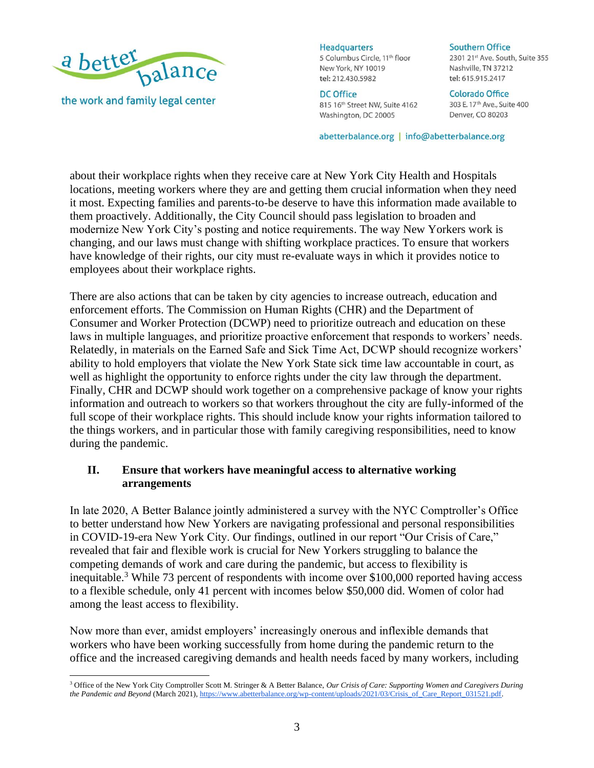

the work and family legal center

**Headquarters** 

5 Columbus Circle, 11<sup>th</sup> floor New York, NY 10019 tel: 212.430.5982

#### **DC Office** 815 16th Street NW, Suite 4162 Washington, DC 20005

**Southern Office** 2301 21st Ave. South, Suite 355 Nashville, TN 37212 tel: 615.915.2417

**Colorado Office** 303 E. 17th Ave., Suite 400 Denver, CO 80203

abetterbalance.org | info@abetterbalance.org

about their workplace rights when they receive care at New York City Health and Hospitals locations, meeting workers where they are and getting them crucial information when they need it most. Expecting families and parents-to-be deserve to have this information made available to them proactively. Additionally, the City Council should pass legislation to broaden and modernize New York City's posting and notice requirements. The way New Yorkers work is changing, and our laws must change with shifting workplace practices. To ensure that workers have knowledge of their rights, our city must re-evaluate ways in which it provides notice to employees about their workplace rights.

There are also actions that can be taken by city agencies to increase outreach, education and enforcement efforts. The Commission on Human Rights (CHR) and the Department of Consumer and Worker Protection (DCWP) need to prioritize outreach and education on these laws in multiple languages, and prioritize proactive enforcement that responds to workers' needs. Relatedly, in materials on the Earned Safe and Sick Time Act, DCWP should recognize workers' ability to hold employers that violate the New York State sick time law accountable in court, as well as highlight the opportunity to enforce rights under the city law through the department. Finally, CHR and DCWP should work together on a comprehensive package of know your rights information and outreach to workers so that workers throughout the city are fully-informed of the full scope of their workplace rights. This should include know your rights information tailored to the things workers, and in particular those with family caregiving responsibilities, need to know during the pandemic.

# **II. Ensure that workers have meaningful access to alternative working arrangements**

In late 2020, A Better Balance jointly administered a survey with the NYC Comptroller's Office to better understand how New Yorkers are navigating professional and personal responsibilities in COVID-19-era New York City. Our findings, outlined in our report "Our Crisis of Care," revealed that fair and flexible work is crucial for New Yorkers struggling to balance the competing demands of work and care during the pandemic, but access to flexibility is inequitable.<sup>3</sup> While 73 percent of respondents with income over  $$100,000$  reported having access to a flexible schedule, only 41 percent with incomes below \$50,000 did. Women of color had among the least access to flexibility.

Now more than ever, amidst employers' increasingly onerous and inflexible demands that workers who have been working successfully from home during the pandemic return to the office and the increased caregiving demands and health needs faced by many workers, including

<sup>3</sup> Office of the New York City Comptroller Scott M. Stringer & A Better Balance, *Our Crisis of Care: Supporting Women and Caregivers During the Pandemic and Beyond* (March 2021)[, https://www.abetterbalance.org/wp-content/uploads/2021/03/Crisis\\_of\\_Care\\_Report\\_031521.pdf.](https://www.abetterbalance.org/wp-content/uploads/2021/03/Crisis_of_Care_Report_031521.pdf)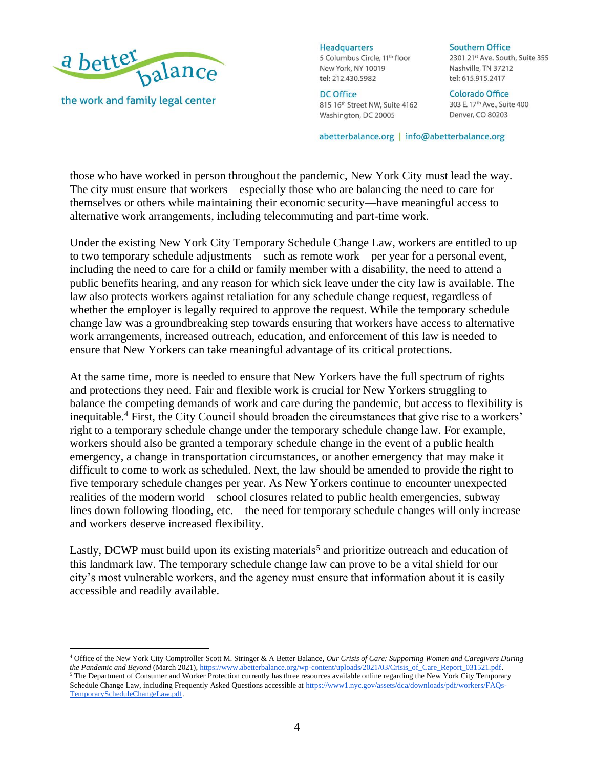

**Headquarters** 

5 Columbus Circle, 11<sup>th</sup> floor New York, NY 10019 tel: 212.430.5982

**DC Office** 815 16th Street NW, Suite 4162 Washington, DC 20005

**Southern Office** 2301 21st Ave. South, Suite 355 Nashville, TN 37212 tel: 615.915.2417

**Colorado Office** 303 E. 17th Ave., Suite 400 Denver, CO 80203

abetterbalance.org | info@abetterbalance.org

those who have worked in person throughout the pandemic, New York City must lead the way. The city must ensure that workers—especially those who are balancing the need to care for themselves or others while maintaining their economic security—have meaningful access to alternative work arrangements, including telecommuting and part-time work.

Under the existing New York City Temporary Schedule Change Law, workers are entitled to up to two temporary schedule adjustments—such as remote work—per year for a personal event, including the need to care for a child or family member with a disability, the need to attend a public benefits hearing, and any reason for which sick leave under the city law is available. The law also protects workers against retaliation for any schedule change request, regardless of whether the employer is legally required to approve the request. While the temporary schedule change law was a groundbreaking step towards ensuring that workers have access to alternative work arrangements, increased outreach, education, and enforcement of this law is needed to ensure that New Yorkers can take meaningful advantage of its critical protections.

At the same time, more is needed to ensure that New Yorkers have the full spectrum of rights and protections they need. Fair and flexible work is crucial for New Yorkers struggling to balance the competing demands of work and care during the pandemic, but access to flexibility is inequitable.<sup>4</sup> First, the City Council should broaden the circumstances that give rise to a workers' right to a temporary schedule change under the temporary schedule change law. For example, workers should also be granted a temporary schedule change in the event of a public health emergency, a change in transportation circumstances, or another emergency that may make it difficult to come to work as scheduled. Next, the law should be amended to provide the right to five temporary schedule changes per year. As New Yorkers continue to encounter unexpected realities of the modern world—school closures related to public health emergencies, subway lines down following flooding, etc.—the need for temporary schedule changes will only increase and workers deserve increased flexibility.

Lastly, DCWP must build upon its existing materials<sup>5</sup> and prioritize outreach and education of this landmark law. The temporary schedule change law can prove to be a vital shield for our city's most vulnerable workers, and the agency must ensure that information about it is easily accessible and readily available.

<sup>4</sup> Office of the New York City Comptroller Scott M. Stringer & A Better Balance, *Our Crisis of Care: Supporting Women and Caregivers During the Pandemic and Beyond* (March 2021)[, https://www.abetterbalance.org/wp-content/uploads/2021/03/Crisis\\_of\\_Care\\_Report\\_031521.pdf.](https://www.abetterbalance.org/wp-content/uploads/2021/03/Crisis_of_Care_Report_031521.pdf)

 $<sup>5</sup>$  The Department of Consumer and Worker Protection currently has three resources available online regarding the New York City Temporary</sup> Schedule Change Law, including Frequently Asked Questions accessible a[t https://www1.nyc.gov/assets/dca/downloads/pdf/workers/FAQs-](https://www1.nyc.gov/assets/dca/downloads/pdf/workers/FAQs-TemporaryScheduleChangeLaw.pdf)[TemporaryScheduleChangeLaw.pdf.](https://www1.nyc.gov/assets/dca/downloads/pdf/workers/FAQs-TemporaryScheduleChangeLaw.pdf)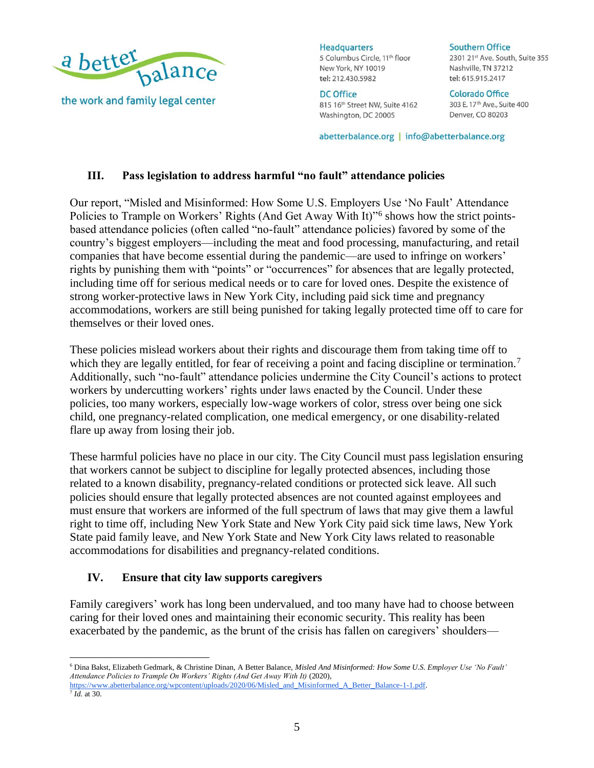

**Headquarters** 5 Columbus Circle, 11<sup>th</sup> floor New York, NY 10019 tel: 212.430.5982

**DC Office** 815 16th Street NW, Suite 4162 Washington, DC 20005

**Southern Office** 2301 21st Ave. South, Suite 355 Nashville, TN 37212 tel: 615.915.2417

**Colorado Office** 303 E. 17th Ave., Suite 400 Denver, CO 80203

abetterbalance.org | info@abetterbalance.org

### **III. Pass legislation to address harmful "no fault" attendance policies**

Our report, "Misled and Misinformed: How Some U.S. Employers Use 'No Fault' Attendance Policies to Trample on Workers' Rights (And Get Away With It)"<sup>6</sup> shows how the strict pointsbased attendance policies (often called "no-fault" attendance policies) favored by some of the country's biggest employers—including the meat and food processing, manufacturing, and retail companies that have become essential during the pandemic—are used to infringe on workers' rights by punishing them with "points" or "occurrences" for absences that are legally protected, including time off for serious medical needs or to care for loved ones. Despite the existence of strong worker-protective laws in New York City, including paid sick time and pregnancy accommodations, workers are still being punished for taking legally protected time off to care for themselves or their loved ones.

These policies mislead workers about their rights and discourage them from taking time off to which they are legally entitled, for fear of receiving a point and facing discipline or termination.<sup>7</sup> Additionally, such "no-fault" attendance policies undermine the City Council's actions to protect workers by undercutting workers' rights under laws enacted by the Council. Under these policies, too many workers, especially low-wage workers of color, stress over being one sick child, one pregnancy-related complication, one medical emergency, or one disability-related flare up away from losing their job.

These harmful policies have no place in our city. The City Council must pass legislation ensuring that workers cannot be subject to discipline for legally protected absences, including those related to a known disability, pregnancy-related conditions or protected sick leave. All such policies should ensure that legally protected absences are not counted against employees and must ensure that workers are informed of the full spectrum of laws that may give them a lawful right to time off, including New York State and New York City paid sick time laws, New York State paid family leave, and New York State and New York City laws related to reasonable accommodations for disabilities and pregnancy-related conditions.

### **IV. Ensure that city law supports caregivers**

Family caregivers' work has long been undervalued, and too many have had to choose between caring for their loved ones and maintaining their economic security. This reality has been exacerbated by the pandemic, as the brunt of the crisis has fallen on caregivers' shoulders—

<sup>6</sup> Dina Bakst, Elizabeth Gedmark, & Christine Dinan, A Better Balance, *Misled And Misinformed: How Some U.S. Employer Use 'No Fault' Attendance Policies to Trample On Workers' Rights (And Get Away With It)* (2020),

https://www.abetterbalance.org/wpcontent/uploads/2020/06/Misled\_and\_Misinformed\_A\_Better\_Balance-1-1.pdf. 7 *Id.* at 30.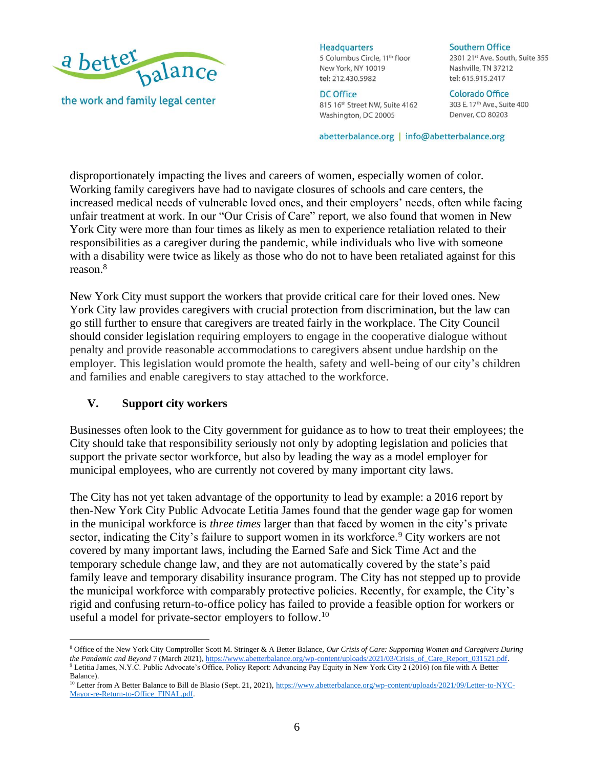

the work and family legal center

**Headquarters** 

5 Columbus Circle, 11<sup>th</sup> floor New York, NY 10019 tel: 212.430.5982

**DC Office** 815 16th Street NW, Suite 4162 Washington, DC 20005

**Southern Office** 2301 21st Ave. South, Suite 355 Nashville, TN 37212 tel: 615.915.2417

**Colorado Office** 303 E. 17th Ave., Suite 400 Denver, CO 80203

abetterbalance.org | info@abetterbalance.org

disproportionately impacting the lives and careers of women, especially women of color. Working family caregivers have had to navigate closures of schools and care centers, the increased medical needs of vulnerable loved ones, and their employers' needs, often while facing unfair treatment at work. In our "Our Crisis of Care" report, we also found that women in New York City were more than four times as likely as men to experience retaliation related to their responsibilities as a caregiver during the pandemic, while individuals who live with someone with a disability were twice as likely as those who do not to have been retaliated against for this reason.<sup>8</sup>

New York City must support the workers that provide critical care for their loved ones. New York City law provides caregivers with crucial protection from discrimination, but the law can go still further to ensure that caregivers are treated fairly in the workplace. The City Council should consider legislation requiring employers to engage in the cooperative dialogue without penalty and provide reasonable accommodations to caregivers absent undue hardship on the employer. This legislation would promote the health, safety and well-being of our city's children and families and enable caregivers to stay attached to the workforce.

# **V. Support city workers**

Businesses often look to the City government for guidance as to how to treat their employees; the City should take that responsibility seriously not only by adopting legislation and policies that support the private sector workforce, but also by leading the way as a model employer for municipal employees, who are currently not covered by many important city laws.

The City has not yet taken advantage of the opportunity to lead by example: a 2016 report by then-New York City Public Advocate Letitia James found that the gender wage gap for women in the municipal workforce is *three times* larger than that faced by women in the city's private sector, indicating the City's failure to support women in its workforce.<sup>9</sup> City workers are not covered by many important laws, including the Earned Safe and Sick Time Act and the temporary schedule change law, and they are not automatically covered by the state's paid family leave and temporary disability insurance program. The City has not stepped up to provide the municipal workforce with comparably protective policies. Recently, for example, the City's rigid and confusing return-to-office policy has failed to provide a feasible option for workers or useful a model for private-sector employers to follow.<sup>10</sup>

<sup>8</sup> Office of the New York City Comptroller Scott M. Stringer & A Better Balance, *Our Crisis of Care: Supporting Women and Caregivers During the Pandemic and Beyond* 7 (March 2021)[, https://www.abetterbalance.org/wp-content/uploads/2021/03/Crisis\\_of\\_Care\\_Report\\_031521.pdf.](https://www.abetterbalance.org/wp-content/uploads/2021/03/Crisis_of_Care_Report_031521.pdf) <sup>9</sup> Letitia James, N.Y.C. Public Advocate's Office, Policy Report: Advancing Pay Equity in New York City 2 (2016) (on file with A Better Balance).

<sup>&</sup>lt;sup>10</sup> Letter from A Better Balance to Bill de Blasio (Sept. 21, 2021), [https://www.abetterbalance.org/wp-content/uploads/2021/09/Letter-to-NYC-](https://www.abetterbalance.org/wp-content/uploads/2021/09/Letter-to-NYC-Mayor-re-Return-to-Office_FINAL.pdf)[Mayor-re-Return-to-Office\\_FINAL.pdf.](https://www.abetterbalance.org/wp-content/uploads/2021/09/Letter-to-NYC-Mayor-re-Return-to-Office_FINAL.pdf)